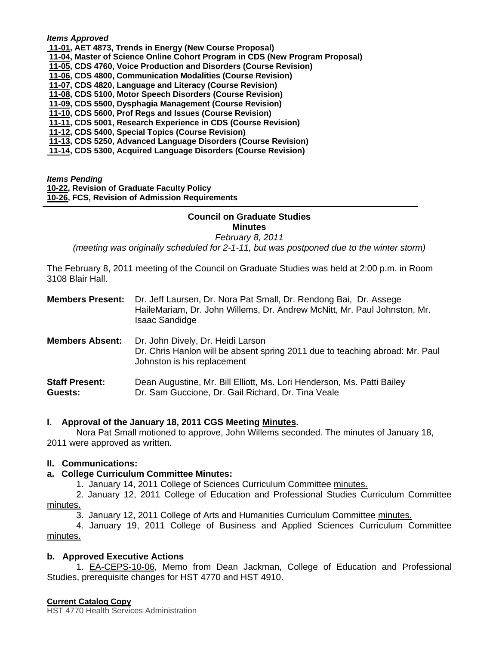#### *[Items A](http://castle.eiu.edu/~eiucgs/currentagendaitems/agenda11-01.pdf)pproved*

- **11-01, AET 4873, Trends in Energy (New Course Proposal)**
- **[11-04, M](http://castle.eiu.edu/~eiucgs/currentagendaitems/agenda11-04.pdf)aster of Science Online Cohort Program in CDS (New Program Proposal)**
- **[11-05, C](http://castle.eiu.edu/~eiucgs/currentagendaitems/agenda11-05.pdf)DS 4760, Voice Production and Disorders (Course Revision)**
- **[11-06, C](http://castle.eiu.edu/~eiucgs/currentagendaitems/agenda11-06.pdf)DS 4800, Communication Modalities (Course Revision)**
- **[11-07,](http://castle.eiu.edu/~eiucgs/currentagendaitems/agenda11-07.pdf) CDS 4820, Language and Literacy (Course Revision)**
- **[11-08, C](http://castle.eiu.edu/~eiucgs/currentagendaitems/agenda11-08.pdf)DS 5100, Motor Speech Disorders (Course Revision)**
- **[11-09, C](http://castle.eiu.edu/~eiucgs/currentagendaitems/agenda11-09.pdf)DS 5500, Dysphagia Management (Course Revision)**
- **[11-10, C](http://castle.eiu.edu/~eiucgs/currentagendaitems/agenda11-10.pdf)DS 5600, Prof Regs and Issues (Course Revision)**
- **[11-11,](http://castle.eiu.edu/~eiucgs/currentagendaitems/agenda11-11.pdf) CDS 5001, Research Experience in CDS (Course Revision)**
- **[11-12, C](http://castle.eiu.edu/~eiucgs/currentagendaitems/agenda11-12.pdf)DS 5400, Special Topics (Course Revision)**
- **[11-13,](http://castle.eiu.edu/~eiucgs/currentagendaitems/agenda11-13.pdf) CDS 5250, Advanced Language Disorders (Course Revision)**
- **[11-14, C](http://castle.eiu.edu/~eiucgs/currentagendaitems/agenda11-14.pdf)DS 5300, Acquired Language Disorders (Course Revision)**

*Items Pending*

f

**[10-22, R](http://castle.eiu.edu/~eiucgs/currentagendaitems/agenda10-22.pdf)evision of Graduate Faculty Policy** 

**[10-26, F](http://castle.eiu.edu/~eiucgs/currentagendaitems/agenda10-26.pdf)CS, Revision of Admission Requirements**

# **Council on Graduate Studies**

**Minutes** 

*February 8, 2011* 

*(meeting was originally scheduled for 2-1-11, but was postponed due to the winter storm)* 

The February 8, 2011 meeting of the Council on Graduate Studies was held at 2:00 p.m. in Room 3108 Blair Hall.

| <b>Members Present:</b>          | Dr. Jeff Laursen, Dr. Nora Pat Small, Dr. Rendong Bai, Dr. Assege<br>HaileMariam, Dr. John Willems, Dr. Andrew McNitt, Mr. Paul Johnston, Mr.<br><b>Isaac Sandidge</b> |
|----------------------------------|------------------------------------------------------------------------------------------------------------------------------------------------------------------------|
| <b>Members Absent:</b>           | Dr. John Dively, Dr. Heidi Larson<br>Dr. Chris Hanlon will be absent spring 2011 due to teaching abroad: Mr. Paul<br>Johnston is his replacement                       |
| <b>Staff Present:</b><br>Guests: | Dean Augustine, Mr. Bill Elliott, Ms. Lori Henderson, Ms. Patti Bailey<br>Dr. Sam Guccione, Dr. Gail Richard, Dr. Tina Veale                                           |

# **I. Approval of the January 18, 2011 CGS Meeti[ng Minutes.](http://castle.eiu.edu/~eiucgs/currentminutes/Minutes1-18-11.pdf)**

 Nora Pat Small motioned to approve, John Willems seconded. The minutes of January 18, 2011 were approved as written.

# **II. Communications:**

# **a. College Curriculum Committee Minutes:**

1. January 14, 2011 College of Sciences Curriculum Committ[ee minutes.](http://castle.eiu.edu/~eiucgs/currentagendaitems/COSMin1-14-11.pdf)

 2. January 12, 2011 College of Education and Professional Studies Curriculum Committee [minutes.](http://castle.eiu.edu/~eiucgs/currentagendaitems/CEPSMin1-12-11.pdf)

3. January 12, 2011 College of Arts and Humanities Curriculum Committe[e minutes.](http://castle.eiu.edu/~eiucgs/currentagendaitems/CAHMin1-12-11.pdf)

 4. January 19, 2011 College of Business and Applied Sciences Curriculum Committee [minutes.](http://castle.eiu.edu/~eiucgs/currentagendaitems/LCBASMin1-19-11.pdf)

# **b. Approved Executive Actions**

 [1. EA-CEPS-10-06, Me](http://castle.eiu.edu/~eiucgs/exec-actions/EA-CEPS-10-06.pdf)mo from Dean Jackman, College of Education and Professional Studies, prerequisite changes for HST 4770 and HST 4910.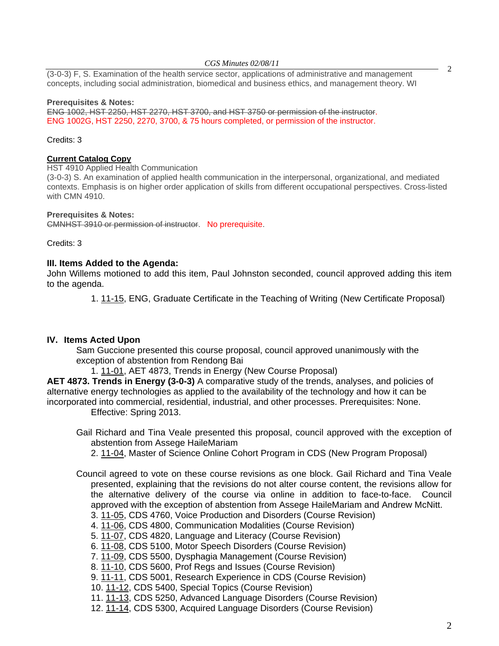#### *CGS Minutes 02/08/11*

 $(3-0-3)$  F, S. Examination of the health service sector, applications of administrative and management  $\overline{a}$ concepts, including social administration, biomedical and business ethics, and management theory. WI

#### **Prerequisites & Notes:**

ENG 1002, HST 2250, HST 2270, HST 3700, and HST 3750 or permission of the instructor. ENG 1002G, HST 2250, 2270, 3700, & 75 hours completed, or permission of the instructor.

#### Credits: 3

### **Current Catalog Copy**

HST 4910 Applied Health Communication

(3-0-3) S. An examination of applied health communication in the interpersonal, organizational, and mediated contexts. Emphasis is on higher order application of skills from different occupational perspectives. Cross-listed with CMN 4910.

#### **Prerequisites & Notes:**

CMNHST 3910 or permission of instructor. No prerequisite.

Credits: 3

### **III. Items Added to the Agenda:**

John Willems motioned to add this item, Paul Johnston seconded, council approved adding this item to the agenda.

[1. 11-15, E](http://castle.eiu.edu/~eiucgs/currentagendaitems/agenda11-15.pdf)NG, Graduate Certificate in the Teaching of Writing (New Certificate Proposal)

### **IV. Items Acted Upon**

Sam Guccione presented this course proposal, council approved unanimously with the exception of abstention from Rendong Bai

1[. 11-01, A](http://castle.eiu.edu/~eiucgs/currentagendaitems/agenda11-01.pdf)ET 4873, Trends in Energy (New Course Proposal)

**AET 4873. Trends in Energy (3-0-3)** A comparative study of the trends, analyses, and policies of alternative energy technologies as applied to the availability of the technology and how it can be incorporated into commercial, residential, industrial, and other processes. Prerequisites: None. Effective: Spring 2013.

Gail Richard and Tina Veale presented this proposal, council approved with the exception of abstention from Assege HaileMariam

[2. 11-04, Ma](http://castle.eiu.edu/~eiucgs/currentagendaitems/agenda11-04.pdf)ster of Science Online Cohort Program in CDS (New Program Proposal)

- Council agreed to vote on these course revisions as one block. Gail Richard and Tina Veale presented, explaining that the revisions do not alter course content, the revisions allow for the alternative delivery of the course via online in addition to face-to-face. Council approved with the exception of abstention from Assege HaileMariam and Andrew McNitt.
	- [3. 11-05, C](http://castle.eiu.edu/~eiucgs/currentagendaitems/agenda11-05.pdf)DS 4760, Voice Production and Disorders (Course Revision)
	- 4[. 11-06, C](http://castle.eiu.edu/~eiucgs/currentagendaitems/agenda11-06.pdf)DS 4800, Communication Modalities (Course Revision)
	- 5. [11-07, C](http://castle.eiu.edu/~eiucgs/currentagendaitems/agenda11-07.pdf)DS 4820, Language and Literacy (Course Revision)
	- 6. [11-08,](http://castle.eiu.edu/~eiucgs/currentagendaitems/agenda11-08.pdf) CDS 5100, Motor Speech Disorders (Course Revision)
	- 7. [11-09, C](http://castle.eiu.edu/~eiucgs/currentagendaitems/agenda11-09.pdf)DS 5500, Dysphagia Management (Course Revision)
	- 8[. 11-10, C](http://castle.eiu.edu/~eiucgs/currentagendaitems/agenda11-10.pdf)DS 5600, Prof Regs and Issues (Course Revision)
	- 9[. 11-11, C](http://castle.eiu.edu/~eiucgs/currentagendaitems/agenda11-11.pdf)DS 5001, Research Experience in CDS (Course Revision)
	- 10. [11-12, C](http://castle.eiu.edu/~eiucgs/currentagendaitems/agenda11-12.pdf)DS 5400, Special Topics (Course Revision)

11. [11-13, C](http://castle.eiu.edu/~eiucgs/currentagendaitems/agenda11-13.pdf)DS 5250, Advanced Language Disorders (Course Revision)

12. [11-14, C](http://castle.eiu.edu/~eiucgs/currentagendaitems/agenda11-14.pdf)DS 5300, Acquired Language Disorders (Course Revision)